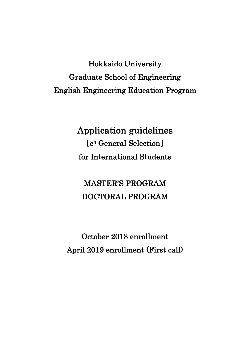Hokkaido University Graduate School of Engineering English Engineering Education Program

> Application guidelines [e3 General Selection] for International Students

MASTER'S PROGRAM DOCTORAL PROGRAM

October 2018 enrollment April 2019 enrollment (First call)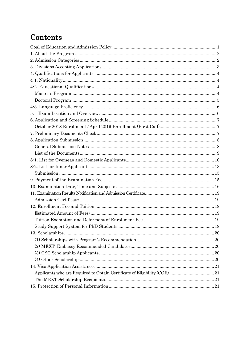# Contents

| 5. |  |
|----|--|
|    |  |
|    |  |
|    |  |
|    |  |
|    |  |
|    |  |
|    |  |
|    |  |
|    |  |
|    |  |
|    |  |
|    |  |
|    |  |
|    |  |
|    |  |
|    |  |
|    |  |
|    |  |
|    |  |
|    |  |
|    |  |
|    |  |
|    |  |
|    |  |
|    |  |
|    |  |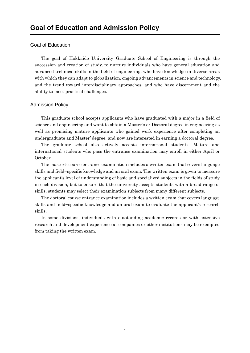#### <span id="page-2-0"></span>Goal of Education

The goal of Hokkaido University Graduate School of Engineering is through the succession and creation of study, to nurture individuals who have general education and advanced technical skills in the field of engineering; who have knowledge in diverse areas with which they can adapt to globalization, ongoing advancements in science and technology, and the trend toward interdisciplinary approaches; and who have discernment and the ability to meet practical challenges.

#### Admission Policy

This graduate school accepts applicants who have graduated with a major in a field of science and engineering and want to obtain a Master's or Doctoral degree in engineering as well as promising mature applicants who gained work experience after completing an undergraduate and Master' degree, and now are interested in earning a doctoral degree.

The graduate school also actively accepts international students. Mature and international students who pass the entrance examination may enroll in either April or October.

The master's course entrance examination includes a written exam that covers language skills and field−specific knowledge and an oral exam. The written exam is given to measure the applicant's level of understanding of basic and specialized subjects in the fields of study in each division, but to ensure that the university accepts students with a broad range of skills, students may select their examination subjects from many different subjects.

The doctoral course entrance examination includes a written exam that covers language skills and field−specific knowledge and an oral exam to evaluate the applicant's research skills.

In some divisions, individuals with outstanding academic records or with extensive research and development experience at companies or other institutions may be exempted from taking the written exam.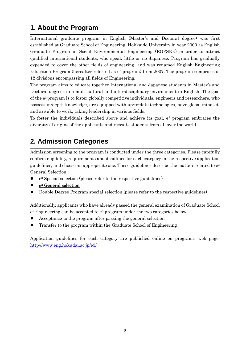# <span id="page-3-0"></span>**1. About the Program**

International graduate program in English (Master's and Doctoral degree) was first established at Graduate School of Engineering, Hokkaido University in year 2000 as English Graduate Program in Social Environmental Engineering (EGPSEE) in order to attract qualified international students, who speak little or no Japanese. Program has gradually expended to cover the other fields of engineering, and was renamed English Engineering Education Program (hereafter referred as  $e^3$  program) from 2007. The program comprises of 12 divisions encompassing all fields of Engineering.

The program aims to educate together International and Japanese students in Master's and Doctoral degrees in a multicultural and inter-disciplinary environment in English. The goal of the e3 program is to foster globally competitive individuals, engineers and researchers, who possess in-depth knowledge, are equipped with up-to-date technologies, have global mindset, and are able to work, taking leadership in various fields.

To foster the individuals described above and achieve its goal,  $e<sup>3</sup>$  program embraces the diversity of origins of the applicants and recruits students from all over the world.

# <span id="page-3-1"></span>**2. Admission Categories**

Admission screening to the program is conducted under the three categories. Please carefully confirm eligibility, requirements and deadlines for each category in the respective application guidelines, and choose an appropriate one. These guidelines describe the matters related to e3 General Selection.

- e3 Special selection (please refer to the respective guidelines)
- e3 General selection
- Double Degree Program special selection (please refer to the respective guidelines)

Additionally, applicants who have already passed the general examination of Graduate School of Engineering can be accepted to  $e^3$  program under the two categories below:

- Acceptance to the program after passing the general selection
- Transfer to the program within the Graduate School of Engineering

Application guidelines for each category are published online on program's web page: <http://www.eng.hokudai.ac.jp/e3/>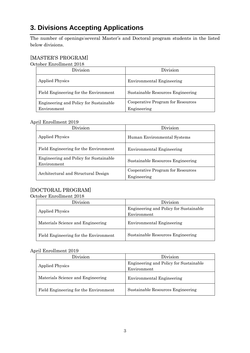# <span id="page-4-0"></span>**3. Divisions Accepting Applications**

The number of openings:several Master's and Doctoral program students in the listed below divisions.

### [MASTER'S PROGRAM]

October Enrollment 2018

| Division                               | Division                          |
|----------------------------------------|-----------------------------------|
| <b>Applied Physics</b>                 | <b>Environmental Engineering</b>  |
| Field Engineering for the Environment  | Sustainable Resources Engineering |
| Engineering and Policy for Sustainable | Cooperative Program for Resources |
| Environment                            | Engineering                       |

#### April Enrollment 2019

| Division                                              | Division                                         |
|-------------------------------------------------------|--------------------------------------------------|
| <b>Applied Physics</b>                                | Human Environmental Systems                      |
| Field Engineering for the Environment                 | Environmental Engineering                        |
| Engineering and Policy for Sustainable<br>Environment | Sustainable Resources Engineering                |
| Architectural and Structural Design                   | Cooperative Program for Resources<br>Engineering |

### [DOCTORAL PROGRAM]

#### October Enrollment 2018

| Division                              | Division                                              |
|---------------------------------------|-------------------------------------------------------|
| <b>Applied Physics</b>                | Engineering and Policy for Sustainable<br>Environment |
| Materials Science and Engineering     | <b>Environmental Engineering</b>                      |
| Field Engineering for the Environment | Sustainable Resources Engineering                     |

#### April Enrollment 2019

| Division                              | Division                                              |
|---------------------------------------|-------------------------------------------------------|
| <b>Applied Physics</b>                | Engineering and Policy for Sustainable<br>Environment |
| Materials Science and Engineering     | Environmental Engineering                             |
| Field Engineering for the Environment | Sustainable Resources Engineering                     |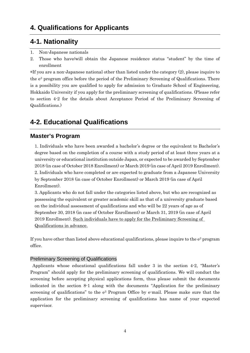## <span id="page-5-1"></span><span id="page-5-0"></span>**4-1. Nationality**

- 1. Non-Japanese nationals
- 2. Those who have/will obtain the Japanese residence status "student" by the time of enrollment

\*If you are a non-Japanese national other than listed under the category (2), please inquire to the e3 program office before the period of the Preliminary Screening of Qualifications. There is a possibility you are qualified to apply for admission to Graduate School of Engineering, Hokkaido University if you apply for the preliminary screening of qualifications. (Please refer to section 4-2 for the details about Acceptance Period of the Preliminary Screening of Qualifications.)

# <span id="page-5-2"></span>**4-2. Educational Qualifications**

### <span id="page-5-3"></span>**Master's Program**

1. Individuals who have been awarded a bachelor's degree or the equivalent to Bachelor's degree based on the completion of a course with a study period of at least three years at a university or educational institution outside Japan, or expected to be awarded by September 2018 (in case of October 2018 Enrollment) or March 2019 (in case of April 2019 Enrollment). 2. Individuals who have completed or are expected to graduate from a Japanese University by September 2018 (in case of October Enrollment) or March 2019 (in case of April Enrollment).

3. Applicants who do not fall under the categories listed above, but who are recognized as possessing the equivalent or greater academic skill as that of a university graduate based on the individual assessment of qualifications and who will be 22 years of age as of September 30, 2018 (in case of October Enrollment) or March 31, 2019 (in case of April 2019 Enrollment). Such individuals have to apply for the Preliminary Screening of Qualifications in advance.

If you have other than listed above educational qualifications, please inquire to the  $e<sup>3</sup>$  program office.

### Preliminary Screening of Qualifications

Applicants whose educational qualifications fall under 3 in the section 4-2, "Master's Program" should apply for the preliminary screening of qualifications. We will conduct the screening before accepting physical applications form, thus please submit the documents indicated in the section 8-1 along with the documents "Application for the preliminary screening of qualifications" to the e<sup>3</sup> Program Office by e-mail. Please make sure that the application for the preliminary screening of qualifications has name of your expected supervisor.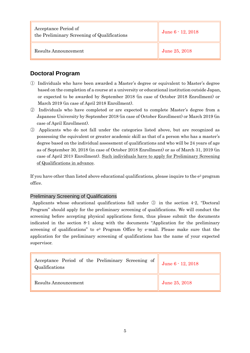| Acceptance Period of<br>the Preliminary Screening of Qualifications | June 6 - 12, 2018 |
|---------------------------------------------------------------------|-------------------|
| Results Announcement                                                | June 25, 2018     |

### <span id="page-6-0"></span>**Doctoral Program**

- ① Individuals who have been awarded a Master's degree or equivalent to Master's degree based on the completion of a course at a university or educational institution outside Japan, or expected to be awarded by September 2018 (in case of October 2018 Enrollment) or March 2019 (in case of April 2018 Enrollment).
- ② Individuals who have completed or are expected to complete Master's degree from a Japanese University by September 2018 (in case of October Enrollment) or March 2019 (in case of April Enrollment).
- ③ Applicants who do not fall under the categories listed above, but are recognized as possessing the equivalent or greater academic skill as that of a person who has a master's degree based on the individual assessment of qualifications and who will be 24 years of age as of September 30, 2018 (in case of October 2018 Enrollment) or as of March 31, 2019 (in case of April 2019 Enrollment). Such individuals have to apply for Preliminary Screening of Qualifications in advance.

If you have other than listed above educational qualifications, please inquire to the  $e<sup>3</sup>$  program office.

### Preliminary Screening of Qualifications

Applicants whose educational qualifications fall under ③ in the section 4-2, "Doctoral Program" should apply for the preliminary screening of qualifications. We will conduct the screening before accepting physical applications form, thus please submit the documents indicated in the section 8-1 along with the documents "Application for the preliminary screening of qualifications" to e3 Program Office by e-mail. Please make sure that the application for the preliminary screening of qualifications has the name of your expected supervisor.

| Acceptance Period of the Preliminary Screening of $\parallel$<br>Qualifications | June 6 - 12, 2018 |
|---------------------------------------------------------------------------------|-------------------|
| Results Announcement                                                            | June 25, 2018     |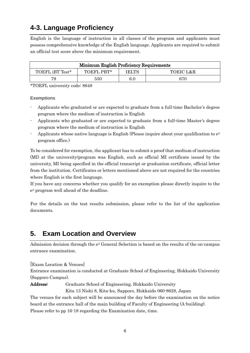# <span id="page-7-0"></span>**4-3. Language Proficiency**

English is the language of instruction in all classes of the program and applicants must possess comprehensive knowledge of the English language. Applicants are required to submit an official test score above the minimum requirement.

| Minimum English Proficiency Requirements |            |       |           |
|------------------------------------------|------------|-------|-----------|
| TOEFL iBT Test*                          | TOEFL PBT* | IELTS | TOEIC L&R |
|                                          | 550        | 6.0   | 670       |

\*TOEFL university code: 8648

#### **Exemptions**

- Applicants who graduated or are expected to graduate from a full-time Bachelor's degree program where the medium of instruction is English
- Applicants who graduated or are expected to graduate from a full-time Master's degree program where the medium of instruction is English
- Applicants whose native language is English (Please inquire about your qualification to  $e^3$ program office.)

To be considered for exemption, the applicant has to submit a proof that medium of instruction (MI) at the university/program was English, such as official MI certificate issued by the university, MI being specified in the official transcript or graduation certificate, official letter from the institution. Certificates or letters mentioned above are not required for the countries where English is the first language.

If you have any concerns whether you qualify for an exemption please directly inquire to the e3 program well ahead of the deadline.

For the details on the test results submission, please refer to the list of the application documents.

## <span id="page-7-1"></span>**5. Exam Location and Overview**

Admission decision through the  $e^3$  General Selection is based on the results of the on-campus entrance examination.

[Exam Location & Venues]

Entrance examination is conducted at Graduate School of Engineering, Hokkaido University (Sapporo Campus).

Address: Graduate School of Engineering, Hokkaido University

Kita 13 Nishi 8, Kita-ku, Sapporo, Hokkaido 060-8628, Japan

The venues for each subject will be announced the day before the examination on the notice board at the entrance hall of the main building of Faculty of Engineering (A-building). Please refer to pp 16-18 regarding the Examination date, time.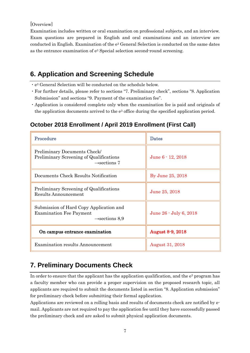#### [Overview]

Examination includes written or oral examination on professional subjects, and an interview. Exam questions are prepared in English and oral examinations and an interview are conducted in English. Examination of the e3 General Selection is conducted on the same dates as the entrance examination of e3 Special selection second-round screening.

# <span id="page-8-0"></span>**6. Application and Screening Schedule**

- ・e3 General Selection will be conducted on the schedule below.
- ・For further details, please refer to sections "7. Preliminary check", sections "8. Application Submission" and sections "9. Payment of the examination fee".
- ・Application is considered complete only when the examination fee is paid and originals of the application documents arrived to the  $e<sup>3</sup>$  office during the specified application period.

## <span id="page-8-1"></span>**October 2018 Enrollment / April 2019 Enrollment (First Call)**

| Procedure                                                                                               | <b>Dates</b>            |
|---------------------------------------------------------------------------------------------------------|-------------------------|
| Preliminary Documents Check/<br>Preliminary Screening of Qualifications<br>$\rightarrow$ sections 7     | June $6 - 12$ , $2018$  |
| Documents Check Results Notification                                                                    | By June 25, 2018        |
| Preliminary Screening of Qualifications<br>Results Announcement                                         | June 25, 2018           |
| Submission of Hard Copy Application and<br><b>Examination Fee Payment</b><br>$\rightarrow$ sections 8,9 | June 26 - July 6, 2018  |
| On campus entrance examination                                                                          | <b>August 8-9, 2018</b> |
| <b>Examination results Announcement</b>                                                                 | <b>August 31, 2018</b>  |

# <span id="page-8-2"></span>**7. Preliminary Documents Check**

In order to ensure that the applicant has the application qualification, and the  $e<sup>3</sup>$  program has a faculty member who can provide a proper supervision on the proposed research topic, all applicants are required to submit the documents listed in section "8. Application submission" for preliminary check before submitting their formal application.

Applications are reviewed on a rolling basis and results of documents check are notified by email. Applicants are not required to pay the application fee until they have successfully passed the preliminary check and are asked to submit physical application documents.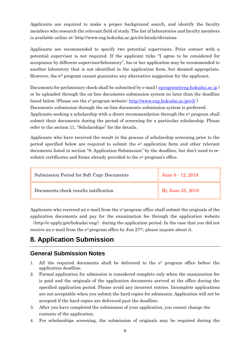Applicants are required to make a proper background search, and identify the faculty members who research the relevant field of study. The list of laboratories and faculty members is available online at: http://www.eng.hokudai.ac.jp/e3/e3study/divisions

Applicants are recommended to specify two potential supervisors. Prior contact with a potential supervisor is not required. If the applicant ticks "I agree to be considered for acceptance by different supervisor/laboratory", his or her application may be recommended to another laboratory that is not identified in the application form, but deemed appropriate. However, the  $e<sup>3</sup>$  program cannot guarantee any alternative suggestion for the applicant.

Documents for preliminary check shall be submitted by e-mail ( $\frac{\text{eprogram}\textcircled{e}$ eng.hokudai.ac.jp) or be uploaded through the on-line documents submission system no later than the deadline listed below. (Please see the e3 program website: <http://www.eng.hokudai.ac.jp/e3/> )

Documents submission through the on-line documents submission system is preferred.

Applicants seeking a scholarship with a direct recommendation through the  $e^3$  program shall submit their documents during the period of screening for a particular scholarship. Please refer to the section 11, "Scholarships" for the details.

Applicants who have received the result in the process of scholarship screening prior to the period specified below are required to submit the e3 application form and other relevant documents listed in section "8. Application Submission" by the deadline, but don't need to resubmit certificates and forms already provided to the  $e<sup>3</sup>$  program's office.

| Submission Period for Soft Copy Documents | June 6 - 12, 2018        |
|-------------------------------------------|--------------------------|
| Documents check results notification      | $\vert$ By June 25, 2018 |

Applicants who received an e-mail from the  $e<sup>3</sup>$  program office shall submit the originals of the application documents and pay for the examination fee through the application website  $(\text{http://e-apply.jp/e/hokudai-eng/})$  during the application period. In the case that you did not

receive an e-mail from the  $e^3$  program office by Jun  $27<sup>th</sup>$ , please inquire about it.

# <span id="page-9-0"></span>**8. Application Submission**

### <span id="page-9-1"></span>**General Submission Notes**

- 1. All the required documents shall be delivered to the  $e<sup>3</sup>$  program office before the application deadline.
- 2. Formal application for admission is considered complete only when the examination fee is paid and the originals of the application documents arrived at the office during the specified application period. Please avoid any incorrect entries. Incomplete applications are not acceptable when you submit the hard copies for admission. Application will not be accepted if the hard copies are delivered past the deadline.
- 3. After you have completed the submission of your application, you cannot change the contents of the application.
- 4. For scholarships screening, the submission of originals may be required during the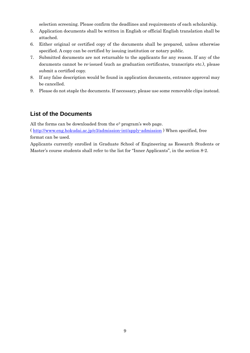selection screening. Please confirm the deadlines and requirements of each scholarship.

- 5. Application documents shall be written in English or official English translation shall be attached.
- 6. Either original or certified copy of the documents shall be prepared, unless otherwise specified. A copy can be certified by issuing institution or notary public.
- 7. Submitted documents are not returnable to the applicants for any reason. If any of the documents cannot be re-issued (such as graduation certificates, transcripts etc.), please submit a certified copy.
- 8. If any false description would be found in application documents, entrance approval may be cancelled.
- 9. Please do not staple the documents. If necessary, please use some removable clips instead.

### <span id="page-10-0"></span>**List of the Documents**

All the forms can be downloaded from the  $e<sup>3</sup>$  program's web page.

(<http://www.eng.hokudai.ac.jp/e3/admission-int/apply-admission> ) When specified, free format can be used.

Applicants currently enrolled in Graduate School of Engineering as Research Students or Master's course students shall refer to the list for "Inner Applicants", in the section 8-2.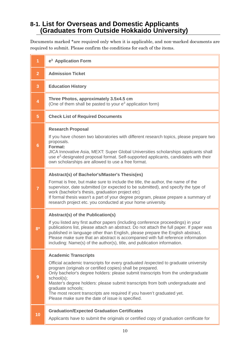## <span id="page-11-0"></span>**8-1. List for Overseas and Domestic Applicants (Graduates from Outside Hokkaido University)**

Documents marked \*are required only when it is applicable, and non-marked documents are required to submit. Please confirm the conditions for each of the items.

| 1               | e <sup>3</sup> Application Form                                                                                                                                                                                                                                                                                                                                                                                                                                                                                         |
|-----------------|-------------------------------------------------------------------------------------------------------------------------------------------------------------------------------------------------------------------------------------------------------------------------------------------------------------------------------------------------------------------------------------------------------------------------------------------------------------------------------------------------------------------------|
| $\overline{2}$  | <b>Admission Ticket</b>                                                                                                                                                                                                                                                                                                                                                                                                                                                                                                 |
| 3               | <b>Education History</b>                                                                                                                                                                                                                                                                                                                                                                                                                                                                                                |
| 4               | Three Photos, approximately 3.5x4.5 cm<br>(One of them shall be pasted to your e <sup>3</sup> application form)                                                                                                                                                                                                                                                                                                                                                                                                         |
| $\overline{5}$  | <b>Check List of Required Documents</b>                                                                                                                                                                                                                                                                                                                                                                                                                                                                                 |
| $6\phantom{1}6$ | <b>Research Proposal</b><br>If you have chosen two laboratories with different research topics, please prepare two<br>proposals.<br>Format:<br>JICA Innovative Asia, MEXT: Super Global Universities scholarships applicants shall<br>use e <sup>3</sup> -designated proposal format. Self-supported applicants, candidates with their<br>own scholarships are allowed to use a free format.                                                                                                                            |
| 7               | Abstract(s) of Bachelor's/Master's Thesis(es)<br>Format is free, but make sure to include the title, the author, the name of the<br>supervisor, date submitted (or expected to be submitted), and specify the type of<br>work (bachelor's thesis, graduation project etc)<br>If formal thesis wasn't a part of your degree program, please prepare a summary of<br>research project etc. you conducted at your home university.                                                                                         |
| $8*$            | <b>Abstract(s) of the Publication(s)</b><br>If you listed any first author papers (including conference proceedings) in your<br>publications list, please attach an abstract. Do not attach the full paper. If paper was<br>published in language other than English, please prepare the English abstract.<br>Please make sure that an abstract is accompanied with full reference information<br>including: Name(s) of the author(s), title, and publication information.                                              |
| 9               | <b>Academic Transcripts</b><br>Official academic transcripts for every graduated / expected to graduate university<br>program (originals or certified copies) shall be prepared.<br>Only bachelor's degree holders: please submit transcripts from the undergraduate<br>school(s);<br>Master's degree holders: please submit transcripts from both undergraduate and<br>graduate schools;<br>The most recent transcripts are required if you haven't graduated yet.<br>Please make sure the date of issue is specified. |
| 10              | <b>Graduation/Expected Graduation Certificates</b><br>Applicants have to submit the originals or certified copy of graduation certificate for                                                                                                                                                                                                                                                                                                                                                                           |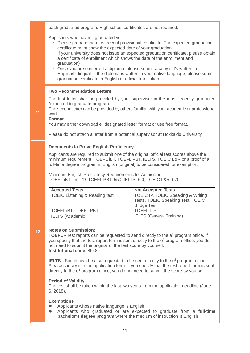|    | each graduated program. High school certificates are not required.                                                                                                                                                                                                                                                                                                                                                                 |                                                                                                                                                                                                                                                                |
|----|------------------------------------------------------------------------------------------------------------------------------------------------------------------------------------------------------------------------------------------------------------------------------------------------------------------------------------------------------------------------------------------------------------------------------------|----------------------------------------------------------------------------------------------------------------------------------------------------------------------------------------------------------------------------------------------------------------|
|    | Applicants who haven't graduated yet:<br>certificate must show the expected date of your graduation.<br>a certificate of enrollment which shows the date of the enrollment and<br>graduation)<br>Once you are conferred a diploma, please submit a copy if it's written in                                                                                                                                                         | Please prepare the most recent provisional certificate. The expected graduation<br>If your university does not issue an expected graduation certificate, please obtain<br>English/bi-lingual. If the diploma is written in your native language, please submit |
|    | graduation certificate in English or official translation.                                                                                                                                                                                                                                                                                                                                                                         |                                                                                                                                                                                                                                                                |
| 11 | <b>Two Recommendation Letters</b><br>/expected to graduate program.<br>work.<br><b>Format</b><br>You may either download e <sup>3</sup> designated letter format or use free format.<br>Please do not attach a letter from a potential supervisor at Hokkaido University.                                                                                                                                                          | The first letter shall be provided by your supervisor in the most recently graduated<br>The second letter can be provided by others familiar with your academic or professional                                                                                |
|    |                                                                                                                                                                                                                                                                                                                                                                                                                                    |                                                                                                                                                                                                                                                                |
|    | <b>Documents to Prove English Proficiency</b><br>Applicants are required to submit one of the original official test scores above the<br>minimum requirement: TOEFL iBT, TOEFL PBT, IELTS, TOEIC L&R or a proof of a<br>full-time degree program in English (original) to be considered for exemption.<br>Minimum English Proficiency Requirements for Admission:<br>TOEFL IBT Test:79; TOEFL PBT: 550; IELTS: 6.0; TOEIC L&R: 670 |                                                                                                                                                                                                                                                                |
|    |                                                                                                                                                                                                                                                                                                                                                                                                                                    |                                                                                                                                                                                                                                                                |
|    |                                                                                                                                                                                                                                                                                                                                                                                                                                    |                                                                                                                                                                                                                                                                |
|    | <b>Accepted Tests</b><br><b>TOEIC Listening &amp; Reading test</b>                                                                                                                                                                                                                                                                                                                                                                 | <b>Not Accepted Tests</b><br>TOEIC IP, TOEIC Speaking & Writing<br>Tests, TOEIC Speaking Test, TOEIC<br><b>Bridge Test</b>                                                                                                                                     |
|    | <b>TOEFL IBT, TOEFL PBT</b><br><b>IELTS</b> (Academic)                                                                                                                                                                                                                                                                                                                                                                             | <b>TOEFLITP</b><br><b>IELTS (General Training)</b>                                                                                                                                                                                                             |
| 12 | <b>Notes on Submission:</b><br><b>TOEFL</b> - Test reports can be requested to send directly to the e <sup>3</sup> program office. If<br>you specify that the test report form is sent directly to the e <sup>3</sup> program office, you do<br>not need to submit the original of the test score by yourself.<br>Institutional code: 8648                                                                                         |                                                                                                                                                                                                                                                                |
|    | <b>IELTS</b> - Scores can be also requested to be sent directly to the $e^3$ program office.<br>directly to the $e3$ program office, you do not need to submit the score by yourself.                                                                                                                                                                                                                                              | Please specify it in the application form. If you specify that the test report form is sent                                                                                                                                                                    |
|    | <b>Period of Validity</b><br>The test shall be taken within the last two years from the application deadline (June<br>6, 2018).                                                                                                                                                                                                                                                                                                    |                                                                                                                                                                                                                                                                |
|    | <b>Exemptions</b><br>Applicants whose native language is English<br>bachelor's degree program where the medium of instruction is English                                                                                                                                                                                                                                                                                           | Applicants who graduated or are expected to graduate from a full-time                                                                                                                                                                                          |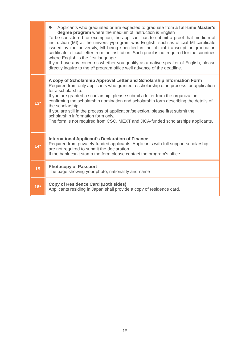|       | Applicants who graduated or are expected to graduate from a full-time Master's<br>degree program where the medium of instruction is English<br>To be considered for exemption, the applicant has to submit a proof that medium of<br>instruction (MI) at the university/program was English, such as official MI certificate<br>issued by the university, MI being specified in the official transcript or graduation<br>certificate, official letter from the institution. Such proof is not required for the countries<br>where English is the first language.<br>If you have any concerns whether you qualify as a native speaker of English, please<br>directly inquire to the e <sup>3</sup> program office well advance of the deadline. |
|-------|------------------------------------------------------------------------------------------------------------------------------------------------------------------------------------------------------------------------------------------------------------------------------------------------------------------------------------------------------------------------------------------------------------------------------------------------------------------------------------------------------------------------------------------------------------------------------------------------------------------------------------------------------------------------------------------------------------------------------------------------|
| $13*$ | A copy of Scholarship Approval Letter and Scholarship Information Form<br>Required from only applicants who granted a scholarship or in process for application<br>for a scholarship.<br>If you are granted a scholarship, please submit a letter from the organization<br>confirming the scholarship nomination and scholarship form describing the details of<br>the scholarship.<br>If you are still in the process of application/selection, please first submit the<br>scholarship information form only.<br>The form is not required from CSC, MEXT and JICA-funded scholarships applicants.                                                                                                                                             |
| $14*$ | <b>International Applicant's Declaration of Finance</b><br>Required from privately-funded applicants; Applicants with full support scholarship<br>are not required to submit the declaration.<br>If the bank can't stamp the form please contact the program's office.                                                                                                                                                                                                                                                                                                                                                                                                                                                                         |
| 15    | <b>Photocopy of Passport</b><br>The page showing your photo, nationality and name                                                                                                                                                                                                                                                                                                                                                                                                                                                                                                                                                                                                                                                              |
| $16*$ | <b>Copy of Residence Card (Both sides)</b><br>Applicants residing in Japan shall provide a copy of residence card.                                                                                                                                                                                                                                                                                                                                                                                                                                                                                                                                                                                                                             |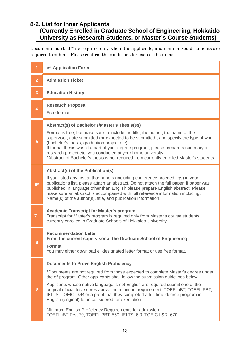### <span id="page-14-0"></span>**8-2. List for Inner Applicants (Currently Enrolled in Graduate School of Engineering, Hokkaido University as Research Students, or Master's Course Students)**

Documents marked \*are required only when it is applicable, and non-marked documents are required to submit. Please confirm the conditions for each of the items.

| 1              | e <sup>3</sup> Application Form                                                                                                                                                                                                                                                                                                                                                                                                                                                                                                                                                                                                                                             |  |  |
|----------------|-----------------------------------------------------------------------------------------------------------------------------------------------------------------------------------------------------------------------------------------------------------------------------------------------------------------------------------------------------------------------------------------------------------------------------------------------------------------------------------------------------------------------------------------------------------------------------------------------------------------------------------------------------------------------------|--|--|
| $\overline{2}$ | <b>Admission Ticket</b>                                                                                                                                                                                                                                                                                                                                                                                                                                                                                                                                                                                                                                                     |  |  |
| $\overline{3}$ | <b>Education History</b>                                                                                                                                                                                                                                                                                                                                                                                                                                                                                                                                                                                                                                                    |  |  |
| $\overline{4}$ | <b>Research Proposal</b><br>Free format                                                                                                                                                                                                                                                                                                                                                                                                                                                                                                                                                                                                                                     |  |  |
| 5              | Abstract(s) of Bachelor's/Master's Thesis(es)<br>Format is free, but make sure to include the title, the author, the name of the<br>supervisor, date submitted (or expected to be submitted), and specify the type of work<br>(bachelor's thesis, graduation project etc)<br>If formal thesis wasn't a part of your degree program, please prepare a summary of<br>research project etc. you conducted at your home university.<br>*Abstract of Bachelor's thesis is not required from currently enrolled Master's students.                                                                                                                                                |  |  |
| $6*$           | <b>Abstract(s) of the Publication(s)</b><br>If you listed any first author papers (including conference proceedings) in your<br>publications list, please attach an abstract. Do not attach the full paper. If paper was<br>published in language other than English please prepare English abstract. Please<br>make sure an abstract is accompanied with full reference information including:<br>Name(s) of the author(s), title, and publication information.                                                                                                                                                                                                            |  |  |
| $\overline{7}$ | <b>Academic Transcript for Master's program</b><br>Transcript for Master's program is required only from Master's course students<br>currently enrolled in Graduate Schools of Hokkaido University.                                                                                                                                                                                                                                                                                                                                                                                                                                                                         |  |  |
| 8              | <b>Recommendation Letter</b><br>From the current supervisor at the Graduate School of Engineering<br><b>Format</b><br>You may either download e <sup>3</sup> designated letter format or use free format.                                                                                                                                                                                                                                                                                                                                                                                                                                                                   |  |  |
| 9              | <b>Documents to Prove English Proficiency</b><br>*Documents are not required from those expected to complete Master's degree under<br>the e <sup>3</sup> program. Other applicants shall follow the submission guidelines below.<br>Applicants whose native language is not English are required submit one of the<br>original official test scores above the minimum requirement: TOEFL iBT, TOEFL PBT,<br>IELTS, TOEIC L&R or a proof that they completed a full-time degree program in<br>English (original) to be considered for exemption.<br>Minimum English Proficiency Requirements for admission:<br>TOEFL IBT Test:79; TOEFL PBT: 550; IELTS: 6.0; TOEIC L&R: 670 |  |  |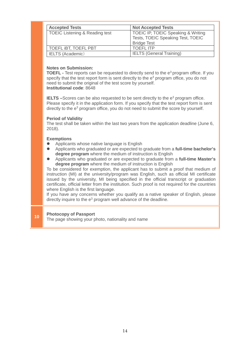| <b>Accepted Tests</b>                     | <b>Not Accepted Tests</b>                                                                     |
|-------------------------------------------|-----------------------------------------------------------------------------------------------|
| <b>TOEIC Listening &amp; Reading test</b> | TOEIC IP, TOEIC Speaking & Writing<br>Tests, TOEIC Speaking Test, TOEIC<br><b>Bridge Test</b> |
| TOEFL IBT, TOEFL PBT                      | <b>TOEFLITP</b>                                                                               |
| <b>IELTS</b> (Academic)                   | <b>IELTS (General Training)</b>                                                               |

#### **Notes on Submission:**

**TOEFL -** Test reports can be requested to directly send to the e<sup>3</sup> program office. If you specify that the test report form is sent directly to the e<sup>3</sup> program office, you do not need to submit the original of the test score by yourself. **Institutional code**: 8648

**IELTS** –Scores can be also requested to be sent directly to the e<sup>3</sup> program office. Please specify it in the application form. If you specify that the test report form is sent directly to the  $e<sup>3</sup>$  program office, you do not need to submit the score by yourself.

#### **Period of Validity**

The test shall be taken within the last two years from the application deadline (June 6, 2018).

#### **Exemptions**

- Applicants whose native language is English
- Applicants who graduated or are expected to graduate from a **full-time bachelor's degree program** where the medium of instruction is English
- Applicants who graduated or are expected to graduate from a **full-time Master's degree program** where the medium of instruction is English

To be considered for exemption, the applicant has to submit a proof that medium of instruction (MI) at the university/program was English, such as official MI certificate issued by the university, MI being specified in the official transcript or graduation certificate, official letter from the institution. Such proof is not required for the countries where English is the first language.

If you have any concerns whether you qualify as a native speaker of English, please directly inquire to the e<sup>3</sup> program well advance of the deadline.

### **<sup>10</sup> Photocopy of Passport**

The page showing your photo, nationality and name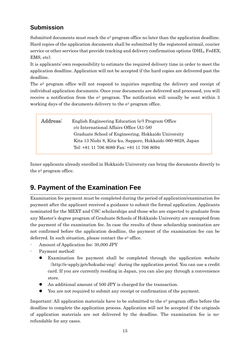## <span id="page-16-0"></span>**Submission**

Submitted documents must reach the  $e<sup>3</sup>$  program office no later than the application deadline. Hard copies of the application documents shall be submitted by the registered airmail, courier service or other services that provide tracking and delivery confirmation options (DHL, FedEX, EMS, etc).

It is applicants' own responsibility to estimate the required delivery time in order to meet the application deadline. Application will not be accepted if the hard copies are delivered past the deadline.

The e3 program office will not respond to inquiries regarding the delivery and receipt of individual application documents. Once your documents are delivered and processed, you will receive a notification from the  $e^3$  program. The notification will usually be sent within 3 working days of the documents delivery to the  $e^3$  program office.

| Address: | English Engineering Education (e <sup>3</sup> ) Program Office<br>c/o International Affairs Office (A1-58) |  |  |
|----------|------------------------------------------------------------------------------------------------------------|--|--|
|          | Graduate School of Engineering, Hokkaido University                                                        |  |  |
|          | Kita 13 Nishi 8, Kita-ku, Sapporo, Hokkaido 060-8628, Japan                                                |  |  |
|          | Tel: +81 11 706 8089 Fax: +81 11 706 8094                                                                  |  |  |
|          |                                                                                                            |  |  |

Inner applicants already enrolled in Hokkaido University can bring the documents directly to the e3 program office.

# <span id="page-16-1"></span>**9. Payment of the Examination Fee**

Examination fee payment must be completed during the period of application/examination fee payment after the applicant received a guidance to submit the formal application. Applicants nominated for the MEXT and CSC scholarships and those who are expected to graduate from any Master's degree program of Graduate Schools of Hokkaido University are exempted from the payment of the examination fee. In case the results of these scholarship nomination are not confirmed before the application deadline, the payment of the examination fee can be deferred. In such situation, please contact the  $e^3$  office.

- Amount of Application fee: 30,000 JPY
- Payment method:
	- Examination fee payment shall be completed through the application website  $(\text{http://e-apply.jp/e/hokudai-eng})$  during the application period. You can use a credit card. If you are currently residing in Japan, you can also pay through a convenience store.
	- An additional amount of 500 JPY is charged for the transaction.
	- You are not required to submit any receipt or confirmation of the payment.

Important: All application materials have to be submitted to the  $e<sup>3</sup>$  program office before the deadline to complete the application process. Application will not be accepted if the originals of application materials are not delivered by the deadline. The examination fee is norefundable for any cases.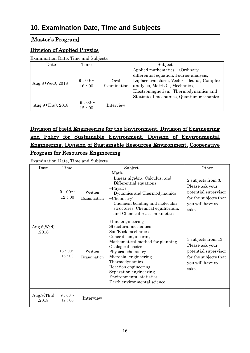# <span id="page-17-0"></span>**10. Examination Date, Time and Subjects**

### [Master's Program]

### Division of Applied Physics

Examination Date, Time and Subjects

| Date              | Time                 | Subject             |                                                                                                                                                                                                                                               |
|-------------------|----------------------|---------------------|-----------------------------------------------------------------------------------------------------------------------------------------------------------------------------------------------------------------------------------------------|
| Aug.8 (Wed), 2018 | $9:00 \sim$<br>16:00 | Oral<br>Examination | Applied mathematics (Ordinary<br>differential equation, Fourier analysis,<br>Laplace transform, Vector calculus, Complex<br>analysis, Matrix), Mechanics,<br>Electromagnetism, Thermodynamics and<br>Statistical mechanics, Quantum mechanics |
| Aug.9 (Thu), 2018 | $9:00 \sim$<br>12:00 | Interview           |                                                                                                                                                                                                                                               |

## Division of Field Engineering for the Environment, Division of Engineering and Policy for Sustainable Environment, Division of Environmental Engineering, Division of Sustainable Resources Environment, Cooperative Program for Resources Engineering

Examination Date, Time and Subjects

| Date                   | Time                 |                        | Other                                                                                                                                                                                                                                                                                                                           |                                                                                                                      |
|------------------------|----------------------|------------------------|---------------------------------------------------------------------------------------------------------------------------------------------------------------------------------------------------------------------------------------------------------------------------------------------------------------------------------|----------------------------------------------------------------------------------------------------------------------|
|                        | $9:00 \sim$<br>12:00 | Written<br>Examination | $-Math$<br>Linear algebra, Calculus, and<br>Differential equations<br>-Physics:<br>Dynamics and Thermodynamics<br>$-Chemistry:$<br>Chemical bonding and molecular<br>structures, Chemical equilibrium,<br>and Chemical reaction kinetics                                                                                        | 2 subjects from 3.<br>Please ask your<br>potential supervisor<br>for the subjects that<br>you will have to<br>take.  |
| Aug.8(Wed)<br>,2018    | 13:00~<br>16:00      | Written<br>Examination | Fluid engineering<br>Structural mechanics<br>Soil/Rock mechanics<br>Concrete engineering<br>Mathematical method for planning<br>Geological basics<br>Physical chemistry<br>Microbial engineering<br>Thermodynamics<br>Reaction engineering<br>Separation engineering<br>Environmental statistics<br>Earth environmental science | 3 subjects from 13.<br>Please ask your<br>potential supervisor<br>for the subjects that<br>you will have to<br>take. |
| Aug.9 $(Thu)$<br>,2018 | $9:00 \sim$<br>12:00 | Interview              |                                                                                                                                                                                                                                                                                                                                 |                                                                                                                      |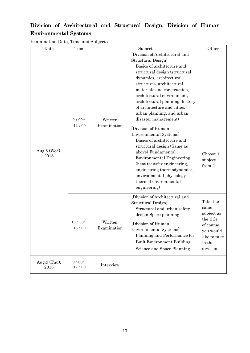## Division of Architectural and Structural Design, Division of Human Environmental Systems

Examination Date, Time and Subjects

| Date                    | Time                 | Subject                |                                                                                                                                                                                                                                                                                                                                                                 | Other                                                                                                        |
|-------------------------|----------------------|------------------------|-----------------------------------------------------------------------------------------------------------------------------------------------------------------------------------------------------------------------------------------------------------------------------------------------------------------------------------------------------------------|--------------------------------------------------------------------------------------------------------------|
|                         | $9:00 \sim$<br>12:00 | Written<br>Examination | [Division of Architectural and<br>Structural Design]<br>Basics of architecture and<br>structural design (structural<br>dynamics, architectural<br>structures, architectural<br>materials and construction,<br>architectural environment,<br>architectural planning, history<br>of architecture and cities,<br>urban planning, and urban<br>disaster management) |                                                                                                              |
| Aug. $8$ (Wed),<br>2018 |                      |                        | [Division of Human<br>Environmental Systems]<br>Basics of architecture and<br>structural design (Same as<br>above) Fundamental<br>Environmental Engineering<br>(heat transfer engineering,<br>engineering thermodynamics,<br>environmental physiology,<br>thermal environmental<br>engineering)                                                                 | Choose 1<br>subject<br>from 2.                                                                               |
|                         | 13:00~<br>$16:00$    | Written<br>Examination | [Division of Architectural and<br>Structural Design]<br>Structural and urban safety<br>design Space planning<br>[Division of Human]<br>Environmental Systems]<br>Planning and Performance for<br><b>Built Environment Building</b><br>Science and Space Planning                                                                                                | Take the<br>same<br>subject as<br>the title<br>of course<br>you would<br>like to take<br>in the<br>division. |
| Aug.9 (Thu),<br>2018    | $9:00\sim$<br>12:00  | Interview              |                                                                                                                                                                                                                                                                                                                                                                 |                                                                                                              |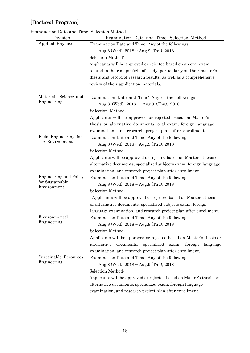# [Doctoral Program]

Examination Date and Time, Selection Method

| Division                       | Examination Date and Time, Selection Method                              |
|--------------------------------|--------------------------------------------------------------------------|
| <b>Applied Physics</b>         | Examination Date and Time: Any of the followings                         |
|                                | Aug.8 (Wed), $2018 \sim \text{Aug.9 (Thu)}$ , $2018$                     |
|                                | Selection Method:                                                        |
|                                | Applicants will be approved or rejected based on an oral exam            |
|                                | related to their major field of study, particularly on their master's    |
|                                | thesis and record of research results, as well as a comprehensive        |
|                                | review of their application materials.                                   |
|                                |                                                                          |
| Materials Science and          | Examination Date and Time: Any of the followings                         |
| Engineering                    | Aug.8 (Wed), $2018 \sim \text{Aug.9}$ (Thu), $2018$                      |
|                                | Selection Method:                                                        |
|                                | Applicants will be approved or rejected based on Master's                |
|                                | thesis or alternative documents, oral exam, foreign language             |
|                                | examination, and research project plan after enrollment.                 |
| Field Engineering for          | Examination Date and Time: Any of the followings                         |
| the Environment                | Aug.8 (Wed), $2018 \sim \text{Aug.9 (Thu)}$ , $2018$                     |
|                                | Selection Method:                                                        |
|                                | Applicants will be approved or rejected based on Master's thesis or      |
|                                | alternative documents, specialized subjects exam, foreign language       |
|                                | examination, and research project plan after enrollment.                 |
| <b>Engineering and Policy</b>  | Examination Date and Time: Any of the followings                         |
| for Sustainable<br>Environment | Aug.8 (Wed), $2018 \sim \text{Aug.9 (Thu)}$ , $2018$                     |
|                                | Selection Method:                                                        |
|                                | Applicants will be approved or rejected based on Master's thesis         |
|                                | or alternative documents, specialized subjects exam, foreign             |
|                                | language examination, and research project plan after enrollment.        |
| Environmental                  | Examination Date and Time: Any of the followings                         |
| Engineering                    | Aug.8 (Wed), $2018 \sim \text{Aug.9 (Thu)}$ , $2018$                     |
|                                | Selection Method:                                                        |
|                                | Applicants will be approved or rejected based on Master's thesis or      |
|                                | documents,<br>alternative<br>specialized<br>exam,<br>foreign<br>language |
|                                | examination, and research project plan after enrollment.                 |
| Sustainable Resources          | Examination Date and Time: Any of the followings                         |
| Engineering                    | Aug.8 (Wed), $2018 \sim \text{Aug.9 (Thu)}$ , $2018$                     |
|                                | Selection Method:                                                        |
|                                | Applicants will be approved or rejected based on Master's thesis or      |
|                                | alternative documents, specialized exam, foreign language                |
|                                | examination, and research project plan after enrollment.                 |
|                                |                                                                          |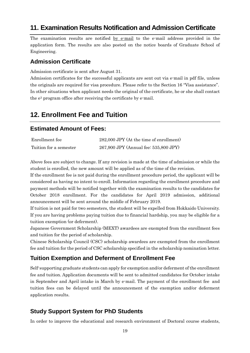## <span id="page-20-0"></span>**11. Examination Results Notification and Admission Certificate**

The examination results are notified by e-mail to the e-mail address provided in the application form. The results are also posted on the notice boards of Graduate School of Engineering.

### <span id="page-20-1"></span>**Admission Certificate**

Admission certificate is sent after August 31.

Admission certificates for the successful applicants are sent out via e-mail in pdf file, unless the originals are required for visa procedure. Please refer to the Section 16 "Visa assistance". In other situations when applicant needs the original of the certificate, he or she shall contact the e3 program office after receiving the certificate by e-mail.

## <span id="page-20-2"></span>**12. Enrollment Fee and Tuition**

### <span id="page-20-3"></span>**Estimated Amount of Fees:**

| Enrollment fee         | 282,000 JPY (At the time of enrollment) |
|------------------------|-----------------------------------------|
| Tuition for a semester | 267,900 JPY (Annual fee: 535,800 JPY)   |

Above fees are subject to change. If any revision is made at the time of admission or while the student is enrolled, the new amount will be applied as of the time of the revision.

If the enrollment fee is not paid during the enrollment procedure period, the applicant will be considered as having no intent to enroll. Information regarding the enrollment procedure and payment methods will be notified together with the examination results to the candidates for October 2018 enrollment. For the candidates for April 2019 admission, additional announcement will be sent around the middle of February 2019.

If tuition is not paid for two semesters, the student will be expelled from Hokkaido University. If you are having problems paying tuition due to financial hardship, you may be eligible for a tuition exemption (or deferment).

Japanese Government Scholarship (MEXT) awardees are exempted from the enrollment fees and tuition for the period of scholarship.

Chinese Scholarship Council (CSC) scholarship awardees are exempted from the enrollment fee and tuition for the period of CSC scholarship specified in the scholarship nomination letter.

### <span id="page-20-4"></span>**Tuition Exemption and Deferment of Enrollment Fee**

Self-supporting graduate students can apply for exemption and/or deferment of the enrollment fee and tuition. Application documents will be sent to admitted candidates for October intake in September and April intake in March by e-mail. The payment of the enrollment fee and tuition fees can be delayed until the announcement of the exemption and/or deferment application results.

### <span id="page-20-5"></span>**Study Support System for PhD Students**

In order to improve the educational and research environment of Doctoral course students,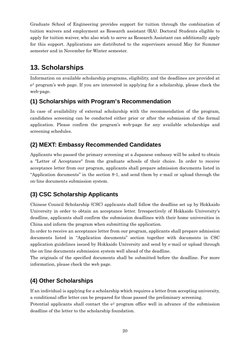Graduate School of Engineering provides support for tuition through the combination of tuition waivers and employment as Research assistant (RA). Doctoral Students eligible to apply for tuition waiver, who also wish to serve as Research Assistant can additionally apply for this support. Applications are distributed to the supervisors around May for Summer semester and in November for Winter semester.

# <span id="page-21-0"></span>**13. Scholarships**

Information on available scholarship programs, eligibility, and the deadlines are provided at e3 program's web page. If you are interested in applying for a scholarship, please check the web-page.

### <span id="page-21-1"></span>**(1) Scholarships with Program's Recommendation**

In case of availability of external scholarship with the recommendation of the program, candidates screening can be conducted either prior or after the submission of the formal application. Please confirm the program's web-page for any available scholarships and screening schedules.

## <span id="page-21-2"></span>**(2) MEXT: Embassy Recommended Candidates**

Applicants who passed the primary screening at a Japanese embassy will be asked to obtain a "Letter of Acceptance" from the graduate schools of their choice. In order to receive acceptance letter from our program, applicants shall prepare admission documents listed in "Application documents" in the section 8-1, and send them by e-mail or upload through the on-line documents submission system.

## <span id="page-21-3"></span>**(3) CSC Scholarship Applicants**

Chinese Council Scholarship (CSC) applicants shall follow the deadline set up by Hokkaido University in order to obtain an acceptance letter. Irrespectively of Hokkaido University's deadline, applicants shall confirm the submission deadlines with their home universities in China and inform the program when submitting the application.

In order to receive an acceptance letter from our program, applicants shall prepare admission documents listed in "Application documents" section together with documents in CSC application guidelines issued by Hokkaido University and send by e-mail or upload through the on-line documents submission system well ahead of the deadline.

The originals of the specified documents shall be submitted before the deadline. For more information, please check the web page.

## <span id="page-21-4"></span>**(4) Other Scholarships**

If an individual is applying for a scholarship which requires a letter from accepting university, a conditional offer letter can be prepared for those passed the preliminary screening.

Potential applicants shall contact the  $e^3$  program office well in advance of the submission deadline of the letter to the scholarship foundation.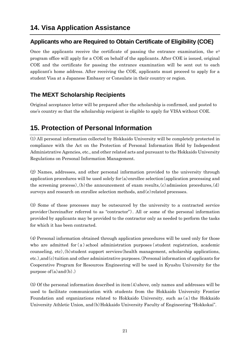### <span id="page-22-1"></span><span id="page-22-0"></span>**Applicants who are Required to Obtain Certificate of Eligibility (COE)**

Once the applicants receive the certificate of passing the entrance examination, the  $e^3$ program office will apply for a COE on behalf of the applicants. After COE is issued, original COE and the certificate for passing the entrance examination will be sent out to each applicant's home address. After receiving the COE, applicants must proceed to apply for a student Visa at a Japanese Embassy or Consulate in their country or region.

## <span id="page-22-2"></span>**The MEXT Scholarship Recipients**

Original acceptance letter will be prepared after the scholarship is confirmed, and posted to one's country so that the scholarship recipient is eligible to apply for VISA without COE.

# <span id="page-22-3"></span>**15. Protection of Personal Information**

(1) All personal information collected by Hokkaido University will be completely protected in compliance with the Act on the Protection of Personal Information Held by Independent Administrative Agencies, etc., and other related acts and pursuant to the Hokkaido University Regulations on Personal Information Management.

(2) Names, addresses, and other personal information provided to the university through application procedures will be used solely for(a)enrollee selection(application processing and the screening process),(b) the announcement of exam results, $(c)$  admission procedures, $(d)$ surveys and research on enrollee selection methods, and (e) related processes.

(3) Some of these processes may be outsourced by the university to a contracted service provider(hereinafter referred to as "contractor"). All or some of the personal information provided by applicants may be provided to the contractor only as needed to perform the tasks for which it has been contracted.

(4) Personal information obtained through application procedures will be used only for those who are admitted for (a) school administration purposes (student registration, academic counseling, etc),(b)student support services(health management, scholarship applications, etc.),and(c)tuition and other administrative purposes.(Personal information of applicants for Cooperative Program for Resources Engineering will be used in Kyushu University for the purpose of  $(a)$  and  $(b)$ .)

(5) Of the personal information described in item(4)above, only names and addresses will be used to facilitate communication with students from the Hokkaido University Frontier Foundation and organizations related to Hokkaido University, such as(a)the Hokkaido University Athletic Union, and(b)Hokkaido University Faculty of Engineering "Hokkokai".